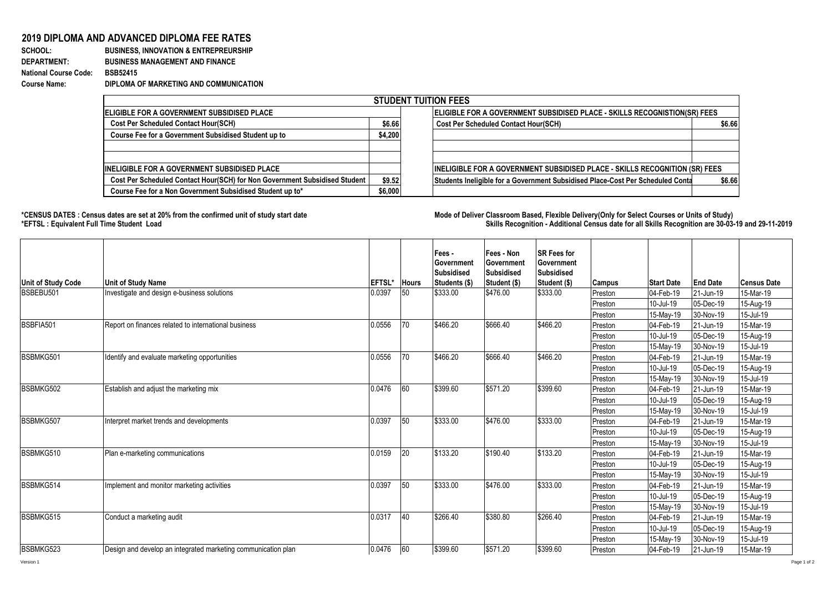## **2019 DIPLOMA AND ADVANCED DIPLOMA FEE RATES**

## SCHOOL: **BUSINESS, INNOVATION & ENTREPREURSHIP DEPARTMENT: BUSINESS MANAGEMENT AND FINANCE National Course Code: BSB52415 Course Name: DIPLOMA OF MARKETING AND COMMUNICATION**

| <b>STUDENT TUITION FEES</b>                                                |         |                                                                                          |  |  |  |  |  |  |  |
|----------------------------------------------------------------------------|---------|------------------------------------------------------------------------------------------|--|--|--|--|--|--|--|
| <b>IELIGIBLE FOR A GOVERNMENT SUBSIDISED PLACE</b>                         |         | <b>ELIGIBLE FOR A GOVERNMENT SUBSIDISED PLACE - SKILLS RECOGNISTION(SR) FEES</b>         |  |  |  |  |  |  |  |
| <b>Cost Per Scheduled Contact Hour(SCH)</b>                                | \$6.66  | <b>Cost Per Scheduled Contact Hour(SCH)</b><br>\$6.66                                    |  |  |  |  |  |  |  |
| Course Fee for a Government Subsidised Student up to                       | \$4,200 |                                                                                          |  |  |  |  |  |  |  |
|                                                                            |         |                                                                                          |  |  |  |  |  |  |  |
|                                                                            |         |                                                                                          |  |  |  |  |  |  |  |
| <b>IINELIGIBLE FOR A GOVERNMENT SUBSIDISED PLACE</b>                       |         | <b>INELIGIBLE FOR A GOVERNMENT SUBSIDISED PLACE - SKILLS RECOGNITION (SR) FEES</b>       |  |  |  |  |  |  |  |
| Cost Per Scheduled Contact Hour(SCH) for Non Government Subsidised Student | \$9.52  | Students Ineligible for a Government Subsidised Place-Cost Per Scheduled Conta<br>\$6.66 |  |  |  |  |  |  |  |
| Course Fee for a Non Government Subsidised Student up to*                  | \$6,000 |                                                                                          |  |  |  |  |  |  |  |

1000

**\*CENSUS DATES : Census dates are set at 20% from the confirmed unit of study start date Mode of Delivery:Classroom Based, Flexible Delivery(Only for Select Courses or Units of Study) \*EFTSL : Equivalent Full Time Student Load Skills Recognition - Additional Census date for all Skills Recognition are 30-03-19 and 29-11-2019** 

| Unit of Study Code | Unit of Study Name                                            | EFTSL* | <b>Hours</b> | Fees -<br>Government<br><b>Subsidised</b><br>Students (\$) | <b>Fees - Non</b><br><b>Government</b><br>Subsidised<br>Student (\$) | <b>SR Fees for</b><br>Government<br><b>Subsidised</b><br>Student (\$) | <b>Campus</b> | <b>Start Date</b> | <b>End Date</b> | <b>Census Date</b> |
|--------------------|---------------------------------------------------------------|--------|--------------|------------------------------------------------------------|----------------------------------------------------------------------|-----------------------------------------------------------------------|---------------|-------------------|-----------------|--------------------|
| BSBEBU501          | Investigate and design e-business solutions                   | 0.0397 | 50           | \$333.00                                                   | \$476.00                                                             | \$333.00                                                              | Preston       | 04-Feb-19         | 21-Jun-19       | 15-Mar-19          |
|                    |                                                               |        |              |                                                            |                                                                      |                                                                       | Preston       | 10-Jul-19         | 05-Dec-19       | 15-Aug-19          |
|                    |                                                               |        |              |                                                            |                                                                      |                                                                       | Preston       | 15-May-19         | 30-Nov-19       | 15-Jul-19          |
| BSBFIA501          | Report on finances related to international business          | 0.0556 | 70           | \$466.20                                                   | \$666.40                                                             | \$466.20                                                              | Preston       | 04-Feb-19         | 21-Jun-19       | 15-Mar-19          |
|                    |                                                               |        |              |                                                            |                                                                      |                                                                       | Preston       | 10-Jul-19         | 05-Dec-19       | 15-Aug-19          |
|                    |                                                               |        |              |                                                            |                                                                      |                                                                       | Preston       | 15-May-19         | 30-Nov-19       | 15-Jul-19          |
| BSBMKG501          | Identify and evaluate marketing opportunities                 | 0.0556 | 70           | \$466.20                                                   | \$666.40                                                             | \$466.20                                                              | Preston       | 04-Feb-19         | 21-Jun-19       | 15-Mar-19          |
|                    |                                                               |        |              |                                                            |                                                                      |                                                                       | Preston       | 10-Jul-19         | 05-Dec-19       | 15-Aug-19          |
|                    |                                                               |        |              |                                                            |                                                                      |                                                                       | Preston       | 15-May-19         | 30-Nov-19       | 15-Jul-19          |
| BSBMKG502          | Establish and adjust the marketing mix                        | 0.0476 | 60           | \$399.60                                                   | \$571.20                                                             | \$399.60                                                              | Preston       | 04-Feb-19         | 21-Jun-19       | 15-Mar-19          |
|                    |                                                               |        |              |                                                            |                                                                      |                                                                       | Preston       | 10-Jul-19         | 05-Dec-19       | 15-Aug-19          |
|                    |                                                               |        |              |                                                            |                                                                      |                                                                       | Preston       | 15-May-19         | 30-Nov-19       | 15-Jul-19          |
| BSBMKG507          | Interpret market trends and developments                      | 0.0397 | 50           | \$333.00                                                   | \$476.00                                                             | \$333.00                                                              | Preston       | 04-Feb-19         | 21-Jun-19       | 15-Mar-19          |
|                    |                                                               |        |              |                                                            |                                                                      |                                                                       | Preston       | 10-Jul-19         | 05-Dec-19       | 15-Aug-19          |
|                    |                                                               |        |              |                                                            |                                                                      |                                                                       | Preston       | 15-May-19         | 30-Nov-19       | 15-Jul-19          |
| BSBMKG510          | Plan e-marketing communications                               | 0.0159 | 20           | \$133.20                                                   | \$190.40                                                             | \$133.20                                                              | Preston       | 04-Feb-19         | 21-Jun-19       | 15-Mar-19          |
|                    |                                                               |        |              |                                                            |                                                                      |                                                                       | Preston       | 10-Jul-19         | 05-Dec-19       | 15-Aug-19          |
|                    |                                                               |        |              |                                                            |                                                                      |                                                                       | Preston       | 15-May-19         | 30-Nov-19       | 15-Jul-19          |
| <b>BSBMKG514</b>   | Implement and monitor marketing activities                    | 0.0397 | 50           | \$333.00                                                   | \$476.00                                                             | \$333.00                                                              | Preston       | 04-Feb-19         | 21-Jun-19       | 15-Mar-19          |
|                    |                                                               |        |              |                                                            |                                                                      |                                                                       | Preston       | 10-Jul-19         | 05-Dec-19       | 15-Aug-19          |
|                    |                                                               |        |              |                                                            |                                                                      |                                                                       | Preston       | 15-May-19         | 30-Nov-19       | 15-Jul-19          |
| <b>BSBMKG515</b>   | Conduct a marketing audit                                     | 0.0317 | 40           | \$266.40                                                   | \$380.80                                                             | \$266.40                                                              | Preston       | 04-Feb-19         | 21-Jun-19       | 15-Mar-19          |
|                    |                                                               |        |              |                                                            |                                                                      |                                                                       | Preston       | 10-Jul-19         | 05-Dec-19       | 15-Aug-19          |
|                    |                                                               |        |              |                                                            |                                                                      |                                                                       | Preston       | 15-May-19         | 30-Nov-19       | 15-Jul-19          |
| BSBMKG523          | Design and develop an integrated marketing communication plan | 0.0476 | 60           | \$399.60                                                   | \$571.20                                                             | \$399.60                                                              | Preston       | 04-Feb-19         | 21-Jun-19       | 15-Mar-19          |